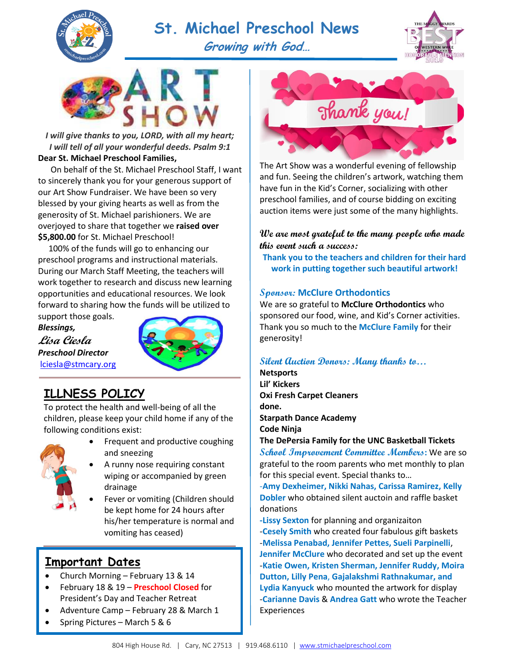

# **St. Michael Preschool News**



**Growing with God…**



*I will give thanks to you, LORD, with all my heart; I will tell of all your wonderful deeds. Psalm 9:1* **Dear St. Michael Preschool Families,**

 On behalf of the St. Michael Preschool Staff, I want to sincerely thank you for your generous support of our Art Show Fundraiser. We have been so very blessed by your giving hearts as well as from the generosity of St. Michael parishioners. We are overjoyed to share that together we **raised over \$5,800.00** for St. Michael Preschool!

 100% of the funds will go to enhancing our preschool programs and instructional materials. During our March Staff Meeting, the teachers will work together to research and discuss new learning opportunities and educational resources. We look forward to sharing how the funds will be utilized to

support those goals. *Blessings,* **Lisa Ciesla** *Preschool Director* [lciesla@stmcary.org](mailto:lciesla@stmcary.org) 



# <u>ILLNESS POLICY</u>

To protect the health and well-being of all the children, please keep your child home if any of the following conditions exist:



- Frequent and productive coughing and sneezing
	- A runny nose requiring constant wiping or accompanied by green drainage
	- Fever or vomiting (Children should be kept home for 24 hours after his/her temperature is normal and vomiting has ceased)

### **Important Dates**

- Church Morning February 13 & 14
- February 18 & 19 **Preschool Closed** for President's Day and Teacher Retreat
- Adventure Camp February 28 & March 1
- Spring Pictures March 5 & 6



The Art Show was a wonderful evening of fellowship and fun. Seeing the children's artwork, watching them have fun in the Kid's Corner, socializing with other preschool families, and of course bidding on exciting auction items were just some of the many highlights.

#### **We are most grateful to the many people who made this event such a success:**

**Thank you to the teachers and children for their hard work in putting together such beautiful artwork!**

#### **Sponsor: McClure Orthodontics**

We are so grateful to **McClure Orthodontics** who sponsored our food, wine, and Kid's Corner activities. Thank you so much to the **McClure Family** for their generosity!

#### **Silent Auction Donors: Many thanks to…**

**Netsports Lil' Kickers Oxi Fresh Carpet Cleaners done. Starpath Dance Academy Code Ninja**

#### **The DePersia Family for the UNC Basketball Tickets**

**School Improvement Committee Members:** We are so grateful to the room parents who met monthly to plan for this special event. Special thanks to…

-**Amy Dexheimer, Nikki Nahas, Carissa Ramirez, Kelly Dobler** who obtained silent auctoin and raffle basket donations

**-Lissy Sexton** for planning and organizaiton -**Cesely Smith** who created four fabulous gift baskets -**Melissa Penabad, Jennifer Pettes, Sueli Parpinelli**, **Jennifer McClure** who decorated and set up the event -**Katie Owen, Kristen Sherman, Jennifer Ruddy, Moira Dutton, Lilly Pena**, **Gajalakshmi Rathnakumar, and Lydia Kanyuck** who mounted the artwork for display -**Carianne Davis** & **Andrea Gatt** who wrote the Teacher Experiences